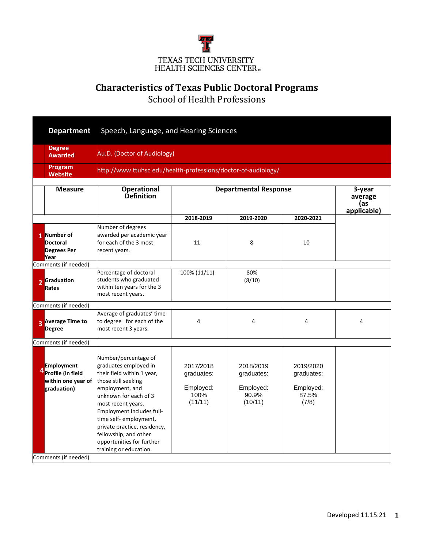

## **Characteristics of Texas Public Doctoral Programs**

School of Health Professions

|                | <b>Department</b>                                                                        | Speech, Language, and Hearing Sciences                                                                                                                                                                                                                                                                                                      |                                                               |                                                          |                                                        |   |  |  |  |
|----------------|------------------------------------------------------------------------------------------|---------------------------------------------------------------------------------------------------------------------------------------------------------------------------------------------------------------------------------------------------------------------------------------------------------------------------------------------|---------------------------------------------------------------|----------------------------------------------------------|--------------------------------------------------------|---|--|--|--|
|                | <b>Degree</b><br><b>Awarded</b>                                                          | Au.D. (Doctor of Audiology)                                                                                                                                                                                                                                                                                                                 |                                                               |                                                          |                                                        |   |  |  |  |
|                | Program<br><b>Website</b>                                                                |                                                                                                                                                                                                                                                                                                                                             | http://www.ttuhsc.edu/health-professions/doctor-of-audiology/ |                                                          |                                                        |   |  |  |  |
|                | <b>Measure</b>                                                                           | <b>Operational</b><br><b>Definition</b>                                                                                                                                                                                                                                                                                                     | 3-year<br>average<br>(as<br>applicable)                       |                                                          |                                                        |   |  |  |  |
|                |                                                                                          |                                                                                                                                                                                                                                                                                                                                             | 2018-2019                                                     | 2019-2020                                                | 2020-2021                                              |   |  |  |  |
|                | 1 Number of<br><b>Doctoral</b><br><b>Degrees Per</b><br>Year                             | Number of degrees<br>awarded per academic year<br>for each of the 3 most<br>recent years.                                                                                                                                                                                                                                                   | 11                                                            | 8                                                        | 10                                                     |   |  |  |  |
|                | Comments (if needed)                                                                     |                                                                                                                                                                                                                                                                                                                                             |                                                               |                                                          |                                                        |   |  |  |  |
| $\overline{2}$ | Graduation<br><b>Rates</b>                                                               | Percentage of doctoral<br>students who graduated<br>within ten years for the 3<br>most recent years.                                                                                                                                                                                                                                        | 100% (11/11)                                                  | 80%<br>(8/10)                                            |                                                        |   |  |  |  |
|                | Comments (if needed)                                                                     |                                                                                                                                                                                                                                                                                                                                             |                                                               |                                                          |                                                        |   |  |  |  |
| $\overline{3}$ | <b>Average Time to</b><br><b>Degree</b>                                                  | Average of graduates' time<br>to degree for each of the<br>most recent 3 years.                                                                                                                                                                                                                                                             | $\overline{4}$                                                | 4                                                        | 4                                                      | 4 |  |  |  |
|                | Comments (if needed)                                                                     |                                                                                                                                                                                                                                                                                                                                             |                                                               |                                                          |                                                        |   |  |  |  |
|                | <b>Employment</b><br><sup>4</sup> Profile (in field<br>within one year of<br>graduation) | Number/percentage of<br>graduates employed in<br>their field within 1 year,<br>those still seeking<br>employment, and<br>unknown for each of 3<br>most recent years.<br>Employment includes full-<br>time self- employment,<br>private practice, residency,<br>fellowship, and other<br>opportunities for further<br>training or education. | 2017/2018<br>graduates:<br>Employed:<br>100%<br>(11/11)       | 2018/2019<br>graduates:<br>Employed:<br>90.9%<br>(10/11) | 2019/2020<br>graduates:<br>Employed:<br>87.5%<br>(7/8) |   |  |  |  |
|                | Comments (if needed)                                                                     |                                                                                                                                                                                                                                                                                                                                             |                                                               |                                                          |                                                        |   |  |  |  |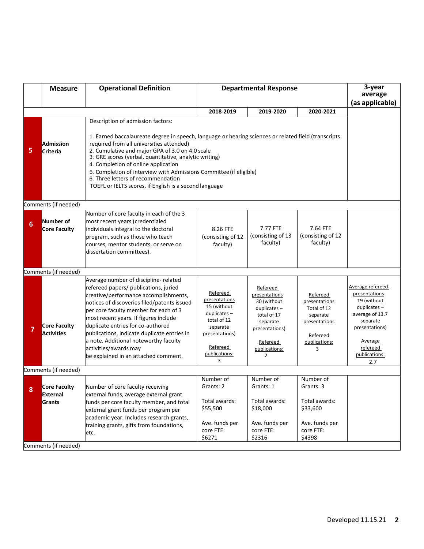|   | <b>Measure</b>                           | <b>Operational Definition</b>                                                                                                                                                                                                                                                                                                                                                                                                                                                                                   | <b>Departmental Response</b>                                                                                                           |                                                                                                                                           |                                                                                                         | 3-year<br>average<br>(as applicable)                                                                                                                                      |  |
|---|------------------------------------------|-----------------------------------------------------------------------------------------------------------------------------------------------------------------------------------------------------------------------------------------------------------------------------------------------------------------------------------------------------------------------------------------------------------------------------------------------------------------------------------------------------------------|----------------------------------------------------------------------------------------------------------------------------------------|-------------------------------------------------------------------------------------------------------------------------------------------|---------------------------------------------------------------------------------------------------------|---------------------------------------------------------------------------------------------------------------------------------------------------------------------------|--|
|   |                                          |                                                                                                                                                                                                                                                                                                                                                                                                                                                                                                                 | 2018-2019                                                                                                                              | 2019-2020                                                                                                                                 | 2020-2021                                                                                               |                                                                                                                                                                           |  |
| 5 | <b>Admission</b><br>Criteria             | Description of admission factors:<br>1. Earned baccalaureate degree in speech, language or hearing sciences or related field (transcripts<br>required from all universities attended)<br>2. Cumulative and major GPA of 3.0 on 4.0 scale<br>3. GRE scores (verbal, quantitative, analytic writing)<br>4. Completion of online application<br>5. Completion of interview with Admissions Committee (if eligible)<br>6. Three letters of recommendation<br>TOEFL or IELTS scores, if English is a second language |                                                                                                                                        |                                                                                                                                           |                                                                                                         |                                                                                                                                                                           |  |
|   | Comments (if needed)                     |                                                                                                                                                                                                                                                                                                                                                                                                                                                                                                                 |                                                                                                                                        |                                                                                                                                           |                                                                                                         |                                                                                                                                                                           |  |
| 6 | Number of<br>Core Faculty                | Number of core faculty in each of the 3<br>most recent years (credentialed<br>individuals integral to the doctoral<br>program, such as those who teach<br>courses, mentor students, or serve on<br>dissertation committees).                                                                                                                                                                                                                                                                                    | 8.26 FTE<br>(consisting of 12)<br>faculty)                                                                                             | 7.77 FTE<br>(consisting of 13<br>faculty)                                                                                                 | 7.64 FTE<br>(consisting of 12<br>faculty)                                                               |                                                                                                                                                                           |  |
|   | Comments (if needed)                     |                                                                                                                                                                                                                                                                                                                                                                                                                                                                                                                 |                                                                                                                                        |                                                                                                                                           |                                                                                                         |                                                                                                                                                                           |  |
|   | <b>Core Faculty</b><br><b>Activities</b> | Average number of discipline- related<br>refereed papers/ publications, juried<br>creative/performance accomplishments,<br>notices of discoveries filed/patents issued<br>per core faculty member for each of 3<br>most recent years. If figures include<br>duplicate entries for co-authored<br>publications, indicate duplicate entries in<br>a note. Additional noteworthy faculty<br>activities/awards may<br>be explained in an attached comment.                                                          | Refereed<br>presentations<br>15 (without<br>duplicates-<br>total of 12<br>separate<br>presentations)<br>Refereed<br>publications:<br>3 | Refereed<br>presentations<br>30 (without<br>$duplicates -$<br>total of 17<br>separate<br>presentations)<br>Refereed<br>publications:<br>2 | Refereed<br>presentations<br>Total of 12<br>separate<br>presentations<br>Refereed<br>publications:<br>3 | Average refereed<br>presentations<br>19 (without<br>$duplicates -$<br>average of 13.7<br>separate<br>presentations)<br><b>Average</b><br>refereed<br>publications:<br>2.7 |  |
|   | Comments (if needed)                     |                                                                                                                                                                                                                                                                                                                                                                                                                                                                                                                 |                                                                                                                                        |                                                                                                                                           |                                                                                                         |                                                                                                                                                                           |  |
| 8 | Core Faculty<br>External<br>Grants       | Number of core faculty receiving<br>external funds, average external grant<br>funds per core faculty member, and total<br>external grant funds per program per<br>academic year. Includes research grants,<br>training grants, gifts from foundations,<br>etc.                                                                                                                                                                                                                                                  | Number of<br>Grants: 2<br>Total awards:<br>\$55,500<br>Ave. funds per<br>core FTE:<br>\$6271                                           | Number of<br>Grants: 1<br>Total awards:<br>\$18,000<br>Ave. funds per<br>core FTE:                                                        | Number of<br>Grants: 3<br>Total awards:<br>\$33,600<br>Ave. funds per<br>core FTE:<br>\$4398            |                                                                                                                                                                           |  |
|   | Comments (if needed)                     |                                                                                                                                                                                                                                                                                                                                                                                                                                                                                                                 |                                                                                                                                        | \$2316                                                                                                                                    |                                                                                                         |                                                                                                                                                                           |  |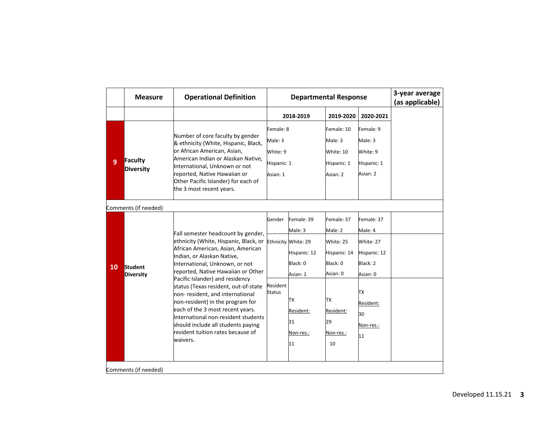|                      | <b>Measure</b>                     | <b>Operational Definition</b>                                                                                                                                                                                                                                                                                                                                                                                                                                                                                                              | <b>Departmental Response</b>                                |                                                                                                                                  |                                                                                                                        | 3-year average<br>(as applicable)                                                                                      |  |
|----------------------|------------------------------------|--------------------------------------------------------------------------------------------------------------------------------------------------------------------------------------------------------------------------------------------------------------------------------------------------------------------------------------------------------------------------------------------------------------------------------------------------------------------------------------------------------------------------------------------|-------------------------------------------------------------|----------------------------------------------------------------------------------------------------------------------------------|------------------------------------------------------------------------------------------------------------------------|------------------------------------------------------------------------------------------------------------------------|--|
|                      |                                    |                                                                                                                                                                                                                                                                                                                                                                                                                                                                                                                                            |                                                             | 2018-2019                                                                                                                        | 2019-2020                                                                                                              | 2020-2021                                                                                                              |  |
| 9                    | Faculty<br><b>Diversity</b>        | Number of core faculty by gender<br>& ethnicity (White, Hispanic, Black,<br>or African American, Asian,<br>American Indian or Alaskan Native,<br>International, Unknown or not<br>reported, Native Hawaiian or<br>Other Pacific Islander) for each of<br>the 3 most recent years.                                                                                                                                                                                                                                                          | Female: 8<br>Male: 3<br>White: 9<br>Hispanic: 1<br>Asian: 1 |                                                                                                                                  | Female: 10<br>Male: 3<br>White: 10<br>Hispanic: 1<br>Asian: 2                                                          | Female: 9<br>Male: 3<br>White: 9<br>Hispanic: 1<br>Asian: 2                                                            |  |
|                      | Comments (if needed)               |                                                                                                                                                                                                                                                                                                                                                                                                                                                                                                                                            |                                                             |                                                                                                                                  |                                                                                                                        |                                                                                                                        |  |
| 10                   | <b>Student</b><br><b>Diversity</b> | Fall semester headcount by gender,<br>ethnicity (White, Hispanic, Black, or<br>African American, Asian, American<br>Indian, or Alaskan Native,<br>International, Unknown, or not<br>reported, Native Hawaiian or Other<br>Pacific Islander) and residency<br>status (Texas resident, out-of-state<br>non-resident, and international<br>non-resident) in the program for<br>each of the 3 most recent years.<br>International non-resident students<br>should include all students paying<br>resident tuition rates because of<br>waivers. | Gender<br>Resident<br><b>Status</b>                         | Female: 39<br>Male: 3<br>Ethnicity White: 29<br>Hispanic: 12<br>Black: 0<br>Asian: 1<br>TХ<br>Resident:<br>31<br>Non-res.:<br>11 | Female: 37<br>Male: 2<br>White: 25<br>Hispanic: 14<br>Black: 0<br>Asian: 0<br>ТX<br>Resident:<br>29<br>Non-res.:<br>10 | Female: 37<br>Male: 4<br>White: 27<br>Hispanic: 12<br>Black: 2<br>Asian: 0<br>ТX<br>Resident:<br>30<br>Non-res.:<br>11 |  |
| Comments (if needed) |                                    |                                                                                                                                                                                                                                                                                                                                                                                                                                                                                                                                            |                                                             |                                                                                                                                  |                                                                                                                        |                                                                                                                        |  |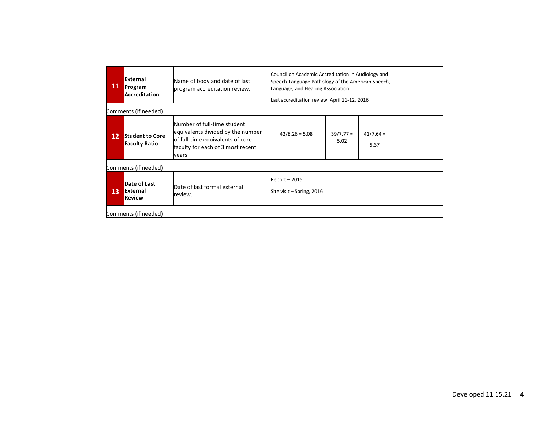| 11                   | <b>External</b><br>Program<br><b>Accreditation</b> | Name of body and date of last<br>program accreditation review.                                                                                     | Council on Academic Accreditation in Audiology and<br>Speech-Language Pathology of the American Speech,<br>Language, and Hearing Association<br>Last accreditation review: April 11-12, 2016 |                     |                     |  |  |
|----------------------|----------------------------------------------------|----------------------------------------------------------------------------------------------------------------------------------------------------|----------------------------------------------------------------------------------------------------------------------------------------------------------------------------------------------|---------------------|---------------------|--|--|
|                      | Comments (if needed)                               |                                                                                                                                                    |                                                                                                                                                                                              |                     |                     |  |  |
| 12                   | <b>Student to Core</b><br><b>Faculty Ratio</b>     | Number of full-time student<br>equivalents divided by the number<br>of full-time equivalents of core<br>faculty for each of 3 most recent<br>vears | $42/8.26 = 5.08$                                                                                                                                                                             | $39/7.77 =$<br>5.02 | $41/7.64 =$<br>5.37 |  |  |
|                      | Comments (if needed)                               |                                                                                                                                                    |                                                                                                                                                                                              |                     |                     |  |  |
| 13                   | Date of Last<br>External<br><b>Review</b>          | Date of last formal external<br>review.                                                                                                            | $Report - 2015$<br>Site visit – Spring, 2016                                                                                                                                                 |                     |                     |  |  |
| Comments (if needed) |                                                    |                                                                                                                                                    |                                                                                                                                                                                              |                     |                     |  |  |